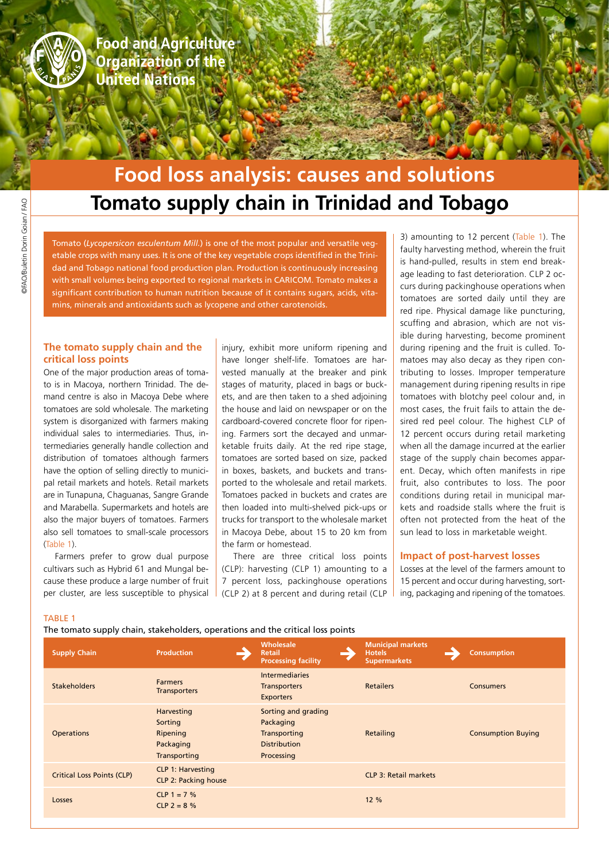

**Food and Agriculture Organization of the United Nations** 

# **Tomato supply chain in Trinidad and Tobago Food loss analysis: causes and solutions**

Tomato (*Lycopersicon esculentum Mill.*) is one of the most popular and versatile vegetable crops with many uses. It is one of the key vegetable crops identified in the Trinidad and Tobago national food production plan. Production is continuously increasing with small volumes being exported to regional markets in CARICOM. Tomato makes a significant contribution to human nutrition because of it contains sugars, acids, vitamins, minerals and antioxidants such as lycopene and other carotenoids.

# **The tomato supply chain and the critical loss points**

One of the major production areas of tomato is in Macoya, northern Trinidad. The demand centre is also in Macoya Debe where tomatoes are sold wholesale. The marketing system is disorganized with farmers making individual sales to intermediaries. Thus, intermediaries generally handle collection and distribution of tomatoes although farmers have the option of selling directly to municipal retail markets and hotels. Retail markets are in Tunapuna, Chaguanas, Sangre Grande and Marabella. Supermarkets and hotels are also the major buyers of tomatoes. Farmers also sell tomatoes to small-scale processors (Table 1).

Farmers prefer to grow dual purpose cultivars such as Hybrid 61 and Mungal because these produce a large number of fruit per cluster, are less susceptible to physical

injury, exhibit more uniform ripening and have longer shelf-life. Tomatoes are harvested manually at the breaker and pink stages of maturity, placed in bags or buckets, and are then taken to a shed adjoining the house and laid on newspaper or on the cardboard-covered concrete floor for ripening. Farmers sort the decayed and unmarketable fruits daily. At the red ripe stage, tomatoes are sorted based on size, packed in boxes, baskets, and buckets and transported to the wholesale and retail markets. Tomatoes packed in buckets and crates are then loaded into multi-shelved pick-ups or trucks for transport to the wholesale market in Macoya Debe, about 15 to 20 km from the farm or homestead.

There are three critical loss points (CLP): harvesting (CLP 1) amounting to a 7 percent loss, packinghouse operations (CLP 2) at 8 percent and during retail (CLP

3) amounting to 12 percent (Table 1). The faulty harvesting method, wherein the fruit is hand-pulled, results in stem end breakage leading to fast deterioration. CLP 2 occurs during packinghouse operations when tomatoes are sorted daily until they are red ripe. Physical damage like puncturing, scuffing and abrasion, which are not visible during harvesting, become prominent during ripening and the fruit is culled. Tomatoes may also decay as they ripen contributing to losses. Improper temperature management during ripening results in ripe tomatoes with blotchy peel colour and, in most cases, the fruit fails to attain the desired red peel colour. The highest CLP of 12 percent occurs during retail marketing when all the damage incurred at the earlier stage of the supply chain becomes apparent. Decay, which often manifests in ripe fruit, also contributes to loss. The poor conditions during retail in municipal markets and roadside stalls where the fruit is often not protected from the heat of the sun lead to loss in marketable weight.

## **Impact of post-harvest losses**

Losses at the level of the farmers amount to 15 percent and occur during harvesting, sorting, packaging and ripening of the tomatoes.

#### TABLE 1

The tomato supply chain, stakeholders, operations and the critical loss points

| <b>Supply Chain</b>               | <b>Production</b>                                              | Wholesale<br><b>Retail</b><br><b>Processing facility</b>                              | <b>Municipal markets</b><br><b>Hotels</b><br><b>Supermarkets</b> | <b>Consumption</b>        |
|-----------------------------------|----------------------------------------------------------------|---------------------------------------------------------------------------------------|------------------------------------------------------------------|---------------------------|
| <b>Stakeholders</b>               | <b>Farmers</b><br><b>Transporters</b>                          | <b>Intermediaries</b><br><b>Transporters</b><br><b>Exporters</b>                      | <b>Retailers</b>                                                 | <b>Consumers</b>          |
| <b>Operations</b>                 | Harvesting<br>Sorting<br>Ripening<br>Packaging<br>Transporting | Sorting and grading<br>Packaging<br>Transporting<br><b>Distribution</b><br>Processing | Retailing                                                        | <b>Consumption Buying</b> |
| <b>Critical Loss Points (CLP)</b> | <b>CLP 1: Harvesting</b><br><b>CLP 2: Packing house</b>        |                                                                                       | <b>CLP 3: Retail markets</b>                                     |                           |
| Losses                            | $CLP 1 = 7 %$<br>$CLP$ 2 = 8 %                                 |                                                                                       | 12 %                                                             |                           |